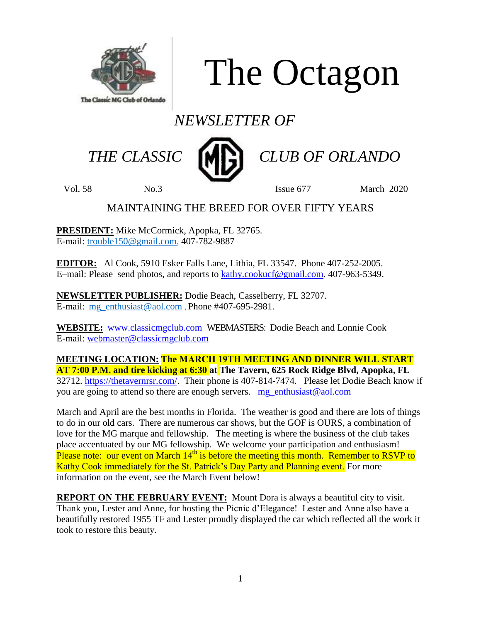

The Octagon

# *NEWSLETTER OF*



 *THE CLASSIC CLUB OF ORLANDO*

Vol. 58 No.3 Issue 677 March 2020

### MAINTAINING THE BREED FOR OVER FIFTY YEARS

**PRESIDENT:** Mike McCormick, Apopka, FL 32765. E-mail: [trouble150@gmail.com,](mailto:trouble150@gmail.com) 407-782-9887

**EDITOR:** Al Cook, 5910 Esker Falls Lane, Lithia, FL 33547. Phone 407-252-2005. E–mail: Please send photos, and reports to [kathy.cookucf@gmail.com.](mailto:kathy.cookucf@gmail.com) 407-963-5349.

**NEWSLETTER PUBLISHER:** Dodie Beach, Casselberry, FL 32707. E-mail: [mg\\_enthusiast@aol.com](mailto:mg_enthusiast@aol.com) , Phone #407-695-2981.

**WEBSITE:** [www.classicmgclub.com](http://www.classicmgclub.com/) WEBMASTERS: Dodie Beach and Lonnie Cook E-mail: [webmaster@classicmgclub.com](mailto:webmaster@classicmgclub.com)

**MEETING LOCATION: The MARCH 19TH MEETING AND DINNER WILL START AT 7:00 P.M. and tire kicking at 6:30 at The Tavern, 625 Rock Ridge Blvd, Apopka, FL** 32712. [https://thetavernrsr.com/.](https://thetavernrsr.com/) Their phone is 407-814-7474. Please let Dodie Beach know if you are going to attend so there are enough servers. [mg\\_enthusiast@aol.com](mailto:mg_enthusiast@aol.com)

March and April are the best months in Florida. The weather is good and there are lots of things to do in our old cars. There are numerous car shows, but the GOF is OURS, a combination of love for the MG marque and fellowship. The meeting is where the business of the club takes place accentuated by our MG fellowship. We welcome your participation and enthusiasm! Please note: our event on March  $14<sup>th</sup>$  is before the meeting this month. Remember to RSVP to Kathy Cook immediately for the St. Patrick's Day Party and Planning event. For more information on the event, see the March Event below!

**REPORT ON THE FEBRUARY EVENT:** Mount Dora is always a beautiful city to visit. Thank you, Lester and Anne, for hosting the Picnic d'Elegance! Lester and Anne also have a beautifully restored 1955 TF and Lester proudly displayed the car which reflected all the work it took to restore this beauty.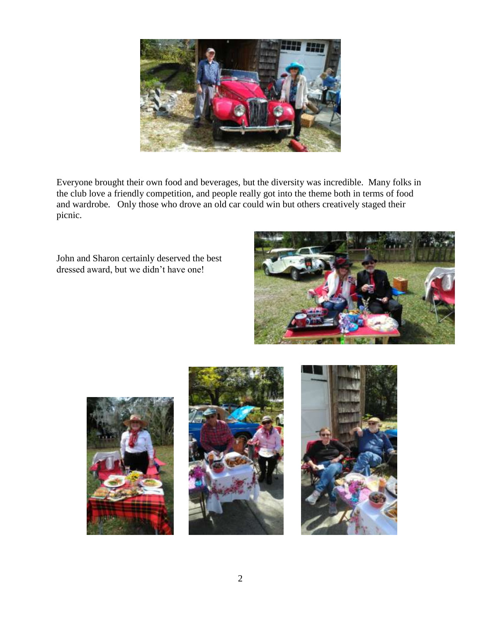

Everyone brought their own food and beverages, but the diversity was incredible. Many folks in the club love a friendly competition, and people really got into the theme both in terms of food and wardrobe. Only those who drove an old car could win but others creatively staged their picnic.

John and Sharon certainly deserved the best dressed award, but we didn't have one!







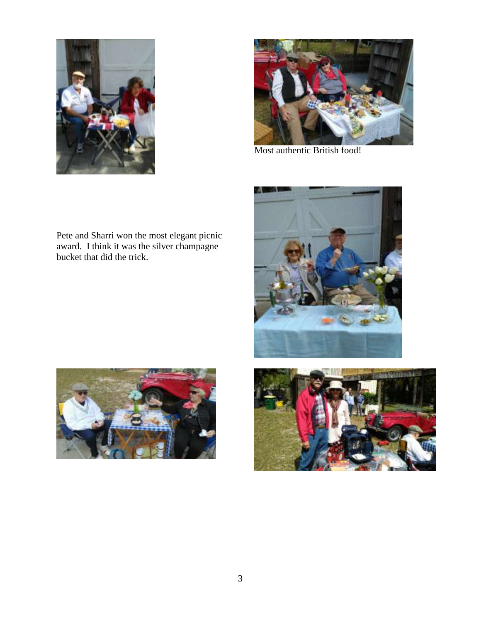



Most authentic British food!

Pete and Sharri won the most elegant picnic award. I think it was the silver champagne bucket that did the trick.





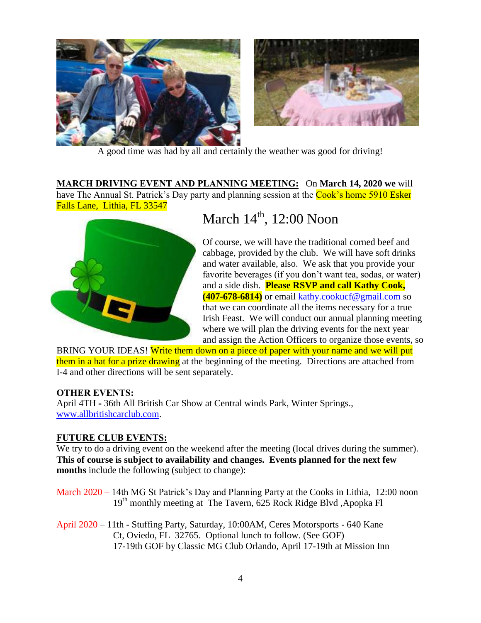



A good time was had by all and certainly the weather was good for driving!

**MARCH DRIVING EVENT AND PLANNING MEETING:** On **March 14, 2020 we** will have The Annual St. Patrick's Day party and planning session at the Cook's home 5910 Esker Falls Lane, Lithia, FL 33547



## March  $14<sup>th</sup>$ , 12:00 Noon

Of course, we will have the traditional corned beef and cabbage, provided by the club. We will have soft drinks and water available, also. We ask that you provide your favorite beverages (if you don't want tea, sodas, or water) and a side dish. **Please RSVP and call Kathy Cook, (407-678-6814)** or email [kathy.cookucf@gmail.com](mailto:kathy.cookucf@gmail.com) so that we can coordinate all the items necessary for a true Irish Feast. We will conduct our annual planning meeting where we will plan the driving events for the next year and assign the Action Officers to organize those events, so

BRING YOUR IDEAS! Write them down on a piece of paper with your name and we will put them in a hat for a prize drawing at the beginning of the meeting. Directions are attached from I-4 and other directions will be sent separately.

#### **OTHER EVENTS:**

April 4TH **-** 36th All British Car Show at Central winds Park, Winter Springs., [www.allbritishcarclub.com.](http://www.allbritishcarclub.com/)

#### **FUTURE CLUB EVENTS:**

We try to do a driving event on the weekend after the meeting (local drives during the summer). **This of course is subject to availability and changes. Events planned for the next few months** include the following (subject to change):

March 2020 – 14th MG St Patrick's Day and Planning Party at the Cooks in Lithia, 12:00 noon 19<sup>th</sup> monthly meeting at The Tavern, 625 Rock Ridge Blvd, Apopka Fl

April 2020 – 11th - Stuffing Party, Saturday, 10:00AM, Ceres Motorsports - 640 Kane Ct, Oviedo, FL 32765. Optional lunch to follow. (See GOF) 17-19th GOF by Classic MG Club Orlando, April 17-19th at Mission Inn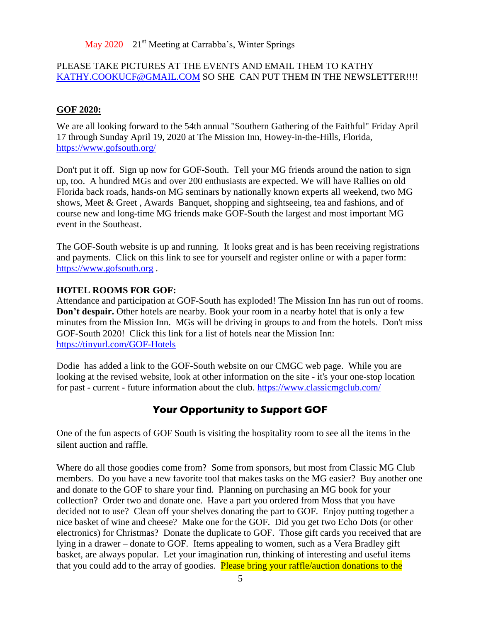May  $2020 - 21$ <sup>st</sup> Meeting at Carrabba's, Winter Springs

#### PLEASE TAKE PICTURES AT THE EVENTS AND EMAIL THEM TO KATHY [KATHY.COOKUCF@GMAIL.COM](mailto:Kathy.cookucf@gmail.com) SO SHE CAN PUT THEM IN THE NEWSLETTER!!!!

#### **GOF 2020:**

We are all looking forward to the 54th annual "Southern Gathering of the Faithful" Friday April 17 through Sunday April 19, 2020 at The Mission Inn, Howey-in-the-Hills, Florida, <https://www.gofsouth.org/>

Don't put it off. Sign up now for GOF-South. Tell your MG friends around the nation to sign up, too. A hundred MGs and over 200 enthusiasts are expected. We will have Rallies on old Florida back roads, hands-on MG seminars by nationally known experts all weekend, two MG shows, Meet & Greet , Awards Banquet, shopping and sightseeing, tea and fashions, and of course new and long-time MG friends make GOF-South the largest and most important MG event in the Southeast.

The GOF-South website is up and running. It looks great and is has been receiving registrations and payments. Click on this link to see for yourself and register online or with a paper form: [https://www.gofsouth.org](https://www.gofsouth.org/) .

#### **HOTEL ROOMS FOR GOF:**

Attendance and participation at GOF-South has exploded! The Mission Inn has run out of rooms. **Don't despair.** Other hotels are nearby. Book your room in a nearby hotel that is only a few minutes from the Mission Inn. MGs will be driving in groups to and from the hotels. Don't miss GOF-South 2020! Click this link for a list of hotels near the Mission Inn: <https://tinyurl.com/GOF-Hotels>

Dodie has added a link to the GOF-South website on our CMGC web page. While you are looking at the revised website, look at other information on the site - it's your one-stop location for past - current - future information about the club. <https://www.classicmgclub.com/>

#### **Your Opportunity to Support GOF**

One of the fun aspects of GOF South is visiting the hospitality room to see all the items in the silent auction and raffle.

Where do all those goodies come from? Some from sponsors, but most from Classic MG Club members. Do you have a new favorite tool that makes tasks on the MG easier? Buy another one and donate to the GOF to share your find. Planning on purchasing an MG book for your collection? Order two and donate one. Have a part you ordered from Moss that you have decided not to use? Clean off your shelves donating the part to GOF. Enjoy putting together a nice basket of wine and cheese? Make one for the GOF. Did you get two Echo Dots (or other electronics) for Christmas? Donate the duplicate to GOF. Those gift cards you received that are lying in a drawer – donate to GOF. Items appealing to women, such as a Vera Bradley gift basket, are always popular. Let your imagination run, thinking of interesting and useful items that you could add to the array of goodies. Please bring your raffle/auction donations to the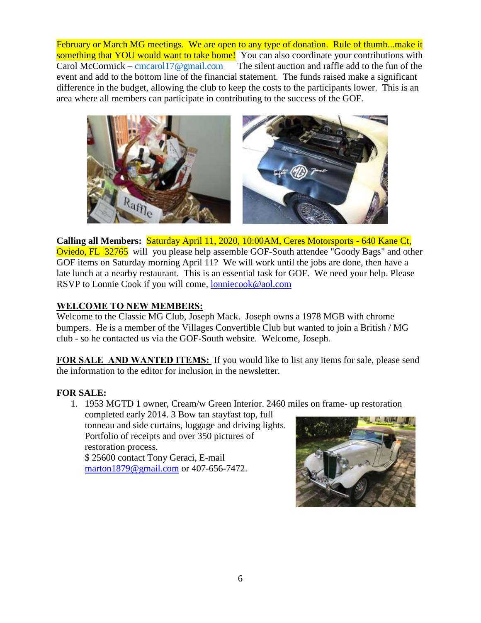February or March MG meetings. We are open to any type of donation. Rule of thumb...make it something that YOU would want to take home! You can also coordinate your contributions with Carol McCormick – [cmcarol17@gmail.com](mailto:cmcarol17@gmail.com) The silent auction and raffle add to the fun of the event and add to the bottom line of the financial statement. The funds raised make a significant difference in the budget, allowing the club to keep the costs to the participants lower. This is an area where all members can participate in contributing to the success of the GOF.



**Calling all Members:** Saturday April 11, 2020, 10:00AM, Ceres Motorsports - 640 Kane Ct, Oviedo, FL 32765 will you please help assemble GOF-South attendee "Goody Bags" and other GOF items on Saturday morning April 11? We will work until the jobs are done, then have a late lunch at a nearby restaurant. This is an essential task for GOF. We need your help. Please RSVP to Lonnie Cook if you will come, **lonniecook@aol.com** 

#### **WELCOME TO NEW MEMBERS:**

Welcome to the Classic MG Club, Joseph Mack. Joseph owns a 1978 MGB with chrome bumpers. He is a member of the Villages Convertible Club but wanted to join a British / MG club - so he contacted us via the GOF-South website. Welcome, Joseph.

**FOR SALE AND WANTED ITEMS:** If you would like to list any items for sale, please send the information to the editor for inclusion in the newsletter.

#### **FOR SALE:**

1. 1953 MGTD 1 owner, Cream/w Green Interior. 2460 miles on frame- up restoration

completed early 2014. 3 Bow tan stayfast top, full tonneau and side curtains, luggage and driving lights. Portfolio of receipts and over 350 pictures of restoration process. \$ 25600 contact Tony Geraci, E-mail

[marton1879@gmail.com](mailto:marton1879@gmail.com) or 407-656-7472.